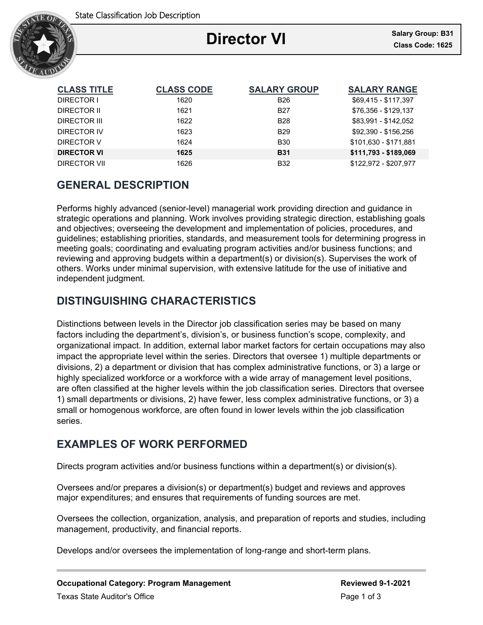

# **Director VI**

Ξ

| <b>CLASS TITLE</b> | <b>CLASS CODE</b> | <b>SALARY GROUP</b> | <b>SALARY RANGE</b>   |
|--------------------|-------------------|---------------------|-----------------------|
| DIRECTOR I         | 1620              | <b>B26</b>          | \$69,415 - \$117,397  |
| DIRECTOR II        | 1621              | <b>B27</b>          | \$76,356 - \$129,137  |
| DIRECTOR III       | 1622              | <b>B28</b>          | \$83,991 - \$142,052  |
| DIRECTOR IV        | 1623              | <b>B29</b>          | \$92,390 - \$156,256  |
| DIRECTOR V         | 1624              | <b>B30</b>          | \$101,630 - \$171,881 |
| <b>DIRECTOR VI</b> | 1625              | <b>B31</b>          | \$111,793 - \$189,069 |
| DIRECTOR VII       | 1626              | <b>B32</b>          | \$122,972 - \$207,977 |

# **GENERAL DESCRIPTION**

Performs highly advanced (senior-level) managerial work providing direction and guidance in strategic operations and planning. Work involves providing strategic direction, establishing goals and objectives; overseeing the development and implementation of policies, procedures, and guidelines; establishing priorities, standards, and measurement tools for determining progress in meeting goals; coordinating and evaluating program activities and/or business functions; and reviewing and approving budgets within a department(s) or division(s). Supervises the work of others. Works under minimal supervision, with extensive latitude for the use of initiative and independent judgment.

# **DISTINGUISHING CHARACTERISTICS**

Distinctions between levels in the Director job classification series may be based on many factors including the department's, division's, or business function's scope, complexity, and organizational impact. In addition, external labor market factors for certain occupations may also impact the appropriate level within the series. Directors that oversee 1) multiple departments or divisions, 2) a department or division that has complex administrative functions, or 3) a large or highly specialized workforce or a workforce with a wide array of management level positions, are often classified at the higher levels within the job classification series. Directors that oversee 1) small departments or divisions, 2) have fewer, less complex administrative functions, or 3) a small or homogenous workforce, are often found in lower levels within the job classification series.

## **EXAMPLES OF WORK PERFORMED**

Directs program activities and/or business functions within a department(s) or division(s).

Oversees and/or prepares a division(s) or department(s) budget and reviews and approves major expenditures; and ensures that requirements of funding sources are met.

Oversees the collection, organization, analysis, and preparation of reports and studies, including management, productivity, and financial reports.

Develops and/or oversees the implementation of long-range and short-term plans.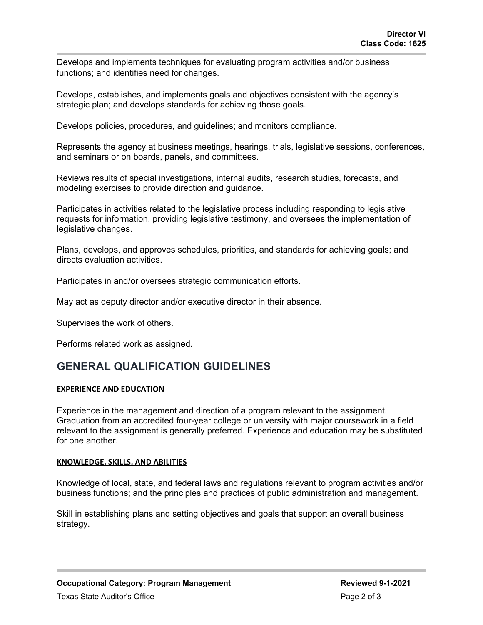Develops and implements techniques for evaluating program activities and/or business functions; and identifies need for changes.

Develops, establishes, and implements goals and objectives consistent with the agency's strategic plan; and develops standards for achieving those goals.

Develops policies, procedures, and guidelines; and monitors compliance.

Represents the agency at business meetings, hearings, trials, legislative sessions, conferences, and seminars or on boards, panels, and committees.

Reviews results of special investigations, internal audits, research studies, forecasts, and modeling exercises to provide direction and guidance.

Participates in activities related to the legislative process including responding to legislative requests for information, providing legislative testimony, and oversees the implementation of legislative changes.

Plans, develops, and approves schedules, priorities, and standards for achieving goals; and directs evaluation activities.

Participates in and/or oversees strategic communication efforts.

May act as deputy director and/or executive director in their absence.

Supervises the work of others.

Performs related work as assigned.

## **GENERAL QUALIFICATION GUIDELINES**

### **EXPERIENCE AND EDUCATION**

Experience in the management and direction of a program relevant to the assignment. Graduation from an accredited four-year college or university with major coursework in a field relevant to the assignment is generally preferred. Experience and education may be substituted for one another.

### **KNOWLEDGE, SKILLS, AND ABILITIES**

Knowledge of local, state, and federal laws and regulations relevant to program activities and/or business functions; and the principles and practices of public administration and management.

Skill in establishing plans and setting objectives and goals that support an overall business strategy.